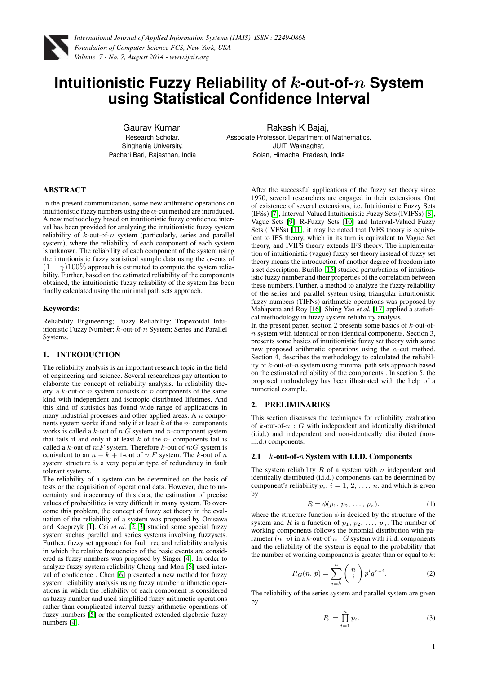

# **Intuitionistic Fuzzy Reliability of** k**-out-of-**n **System using Statistical Confidence Interval**

Gaurav Kumar Research Scholar, Singhania University, Pacheri Bari, Rajasthan, India Rakesh K Bajaj,

Associate Professor, Department of Mathematics, JUIT, Waknaghat, Solan, Himachal Pradesh, India

### ABSTRACT

In the present communication, some new arithmetic operations on intuitionistic fuzzy numbers using the  $\alpha$ -cut method are introduced. A new methodology based on intuitionistic fuzzy confidence interval has been provided for analyzing the intuitionistic fuzzy system reliability of  $k$ -out-of- $n$  system (particularly, series and parallel system), where the reliability of each component of each system is unknown. The reliability of each component of the system using the intuitionistic fuzzy statistical sample data using the  $\alpha$ -cuts of  $(1 - \gamma)100\%$  approach is estimated to compute the system reliability. Further, based on the estimated reliability of the components obtained, the intuitionistic fuzzy reliability of the system has been finally calculated using the minimal path sets approach.

#### Keywords:

Reliability Engineering; Fuzzy Reliability; Trapezoidal Intuitionistic Fuzzy Number;  $k$ -out-of- $n$  System; Series and Parallel Systems.

## 1. INTRODUCTION

The reliability analysis is an important research topic in the field of engineering and science. Several researchers pay attention to elaborate the concept of reliability analysis. In reliability theory, a  $k$ -out-of-n system consists of n components of the same kind with independent and isotropic distributed lifetimes. And this kind of statistics has found wide range of applications in many industrial processes and other applied areas. A  $n$  components system works if and only if at least  $k$  of the  $n$ - components works is called a  $k$ -out of  $n:G$  system and  $n$ -component system that fails if and only if at least  $k$  of the  $n$ - components fail is called a  $k\text{-out}$  of  $n\text{:}F$  system. Therefore  $k\text{-out}$  of  $n\text{:}G$  system is equivalent to an  $n - k + 1$ -out of n:F system. The k-out of n system structure is a very popular type of redundancy in fault tolerant systems.

The reliability of a system can be determined on the basis of tests or the acquisition of operational data. However, due to uncertainty and inaccuracy of this data, the estimation of precise values of probabilities is very difficult in many system. To overcome this problem, the concept of fuzzy set theory in the evaluation of the reliability of a system was proposed by Onisawa and Kacprzyk [\[1\]](#page-5-0). Cai *et al.* [\[2,](#page-5-1) [3\]](#page-5-2) studied some special fuzzy system suchas parellel and series systems involving fuzzysets. Further, fuzzy set approach for fault tree and reliability analysis in which the relative frequencies of the basic events are considered as fuzzy numbers was proposed by Singer [\[4\]](#page-5-3). In order to analyze fuzzy system reliability Cheng and Mon [\[5\]](#page-5-4) used interval of confidence . Chen [\[6\]](#page-5-5) presented a new method for fuzzy system reliability analysis using fuzzy number arithmetic operations in which the reliability of each component is considered as fuzzy number and used simplified fuzzy arithmetic operations rather than complicated interval fuzzy arithmetic operations of fuzzy numbers [\[5\]](#page-5-4) or the complicated extended algebraic fuzzy numbers [\[4\]](#page-5-3).

After the successful applications of the fuzzy set theory since 1970, several researchers are engaged in their extensions. Out of existence of several extensions, i.e. Intuitionistic Fuzzy Sets (IFSs) [\[7\]](#page-5-6), Interval-Valued Intuitionistic Fuzzy Sets (IVIFSs) [\[8\]](#page-5-7), Vague Sets [\[9\]](#page-5-8), R-Fuzzy Sets [\[10\]](#page-5-9) and Interval-Valued Fuzzy Sets (IVFSs) [\[11\]](#page-5-10), it may be noted that IVFS theory is equivalent to IFS theory, which in its turn is equivalent to Vague Set theory, and IVIFS theory extends IFS theory. The implementation of intuitionistic (vague) fuzzy set theory instead of fuzzy set theory means the introduction of another degree of freedom into a set description. Burillo [\[15\]](#page-6-0) studied perturbations of intuitionistic fuzzy number and their properties of the correlation between these numbers. Further, a method to analyze the fuzzy reliability of the series and parallel system using triangular intuitionistic fuzzy numbers (TIFNs) arithmetic operations was proposed by Mahapatra and Roy [\[16\]](#page-6-1). Shing Yao *et al.* [\[17\]](#page-6-2) applied a statistical methodology in fuzzy system reliability analysis.

In the present paper, section 2 presents some basics of  $k$ -out-ofn system with identical or non-identical components. Section 3, presents some basics of intuitionistic fuzzy set theory with some new proposed arithmetic operations using the  $\alpha$ -cut method. Section 4, describes the methodology to calculated the reliability of  $k$ -out-of- $n$  system using minimal path sets approach based on the estimated reliability of the components . In section 5, the proposed methodology has been illustrated with the help of a numerical example.

## 2. PRELIMINARIES

This section discusses the techniques for reliability evaluation of  $k$ -out-of- $n : G$  with independent and identically distributed (i.i.d.) and independent and non-identically distributed (noni.i.d.) components.

#### 2.1  $k$ -out-of- $n$  System with I.I.D. Components

The system reliability  $R$  of a system with  $n$  independent and identically distributed (i.i.d.) components can be determined by component's reliability  $p_i$ ,  $i = 1, 2, ..., n$ . and which is given by

$$
R = \phi(p_1, p_2, \dots, p_n). \tag{1}
$$

where the structure function  $\phi$  is decided by the structure of the system and R is a function of  $p_1, p_2, \ldots, p_n$ . The number of working components follows the binomial distribution with parameter  $(n, p)$  in a k-out-of-n : G system with i.i.d. components and the reliability of the system is equal to the probability that the number of working components is greater than or equal to  $k$ :

$$
R_G(n, p) = \sum_{i=k}^{n} {n \choose i} p^i q^{n-i}.
$$
 (2)

The reliability of the series system and parallel system are given by

$$
R = \prod_{i=1}^{n} p_i.
$$
 (3)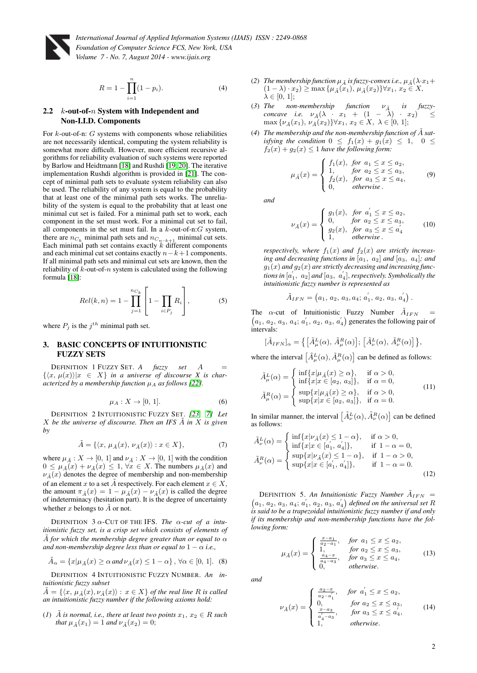

$$
R = 1 - \prod_{i=1}^{n} (1 - p_i).
$$
 (4)

#### 2.2 k-out-of-n System with Independent and Non-I.I.D. Components

For  $k$ -out-of-n:  $G$  systems with components whose reliabilities are not necessarily identical, computing the system reliability is somewhat more difficult. However, more efficient recursive algorithms for reliability evaluation of such systems were reported by Barlow and Heidtmann [\[18\]](#page-6-3) and Rushdi [\[19,](#page-6-4) [20\]](#page-6-5). The iterative implementation Rushdi algorithm is provided in [\[21\]](#page-6-6). The concept of minimal path sets to evaluate system reliability can also be used. The reliability of any system is equal to the probability that at least one of the minimal path sets works. The unreliability of the system is equal to the probability that at least one minimal cut set is failed. For a minimal path set to work, each component in the set must work. For a minimal cut set to fail, all components in the set must fail. In a  $k$ -out-of-n: $G$  system, there are  $n_{C_k}$  minimal path sets and  $n_{C_{n-k+1}}$  minimal cut sets. Each minimal path set contains exactly  $k$  different components and each minimal cut set contains exactly  $n-k+1$  components. If all minimal path sets and minimal cut sets are known, then the reliability of  $k$ -out-of-n system is calculated using the following formula [\[18\]](#page-6-3):

$$
Rel(k, n) = 1 - \prod_{j=1}^{n_{C_k}} \left[ 1 - \prod_{i \in P_j} R_i \right],
$$
 (5)

where  $P_j$  is the  $j^{th}$  minimal path set.

## 3. BASIC CONCEPTS OF INTUITIONISTIC FUZZY SETS

DEFINITION 1 FUZZY SET. *A fuzzy set* A =  $\{\langle x, \mu(x)\rangle | x \in X\}$  *in a universe of discourse X is characterized by a membership function*  $\mu_A$  *as follows* [\[22\]](#page-6-7)*.* 

$$
\mu_A: X \to [0, 1]. \tag{6}
$$

DEFINITION 2 INTUITIONISTIC FUZZY SET. *[\[23,](#page-6-8) [7\]](#page-5-6) Let*  $X$  be the universe of discourse. Then an IFS  $\tilde{A}$  in  $X$  is given *by*

$$
\tilde{A} = \{ \langle x, \mu_{\tilde{A}}(x), \nu_{\tilde{A}}(x) \rangle : x \in X \},\tag{7}
$$

where  $\mu_{\tilde{A}} : X \to [0, 1]$  and  $\nu_{\tilde{A}} : X \to [0, 1]$  with the condition  $0 \leq \mu_{\tilde{A}}(x) + \nu_{\tilde{A}}(x) \leq 1, \forall x \in X$ . The numbers  $\mu_{\tilde{A}}(x)$  and  $\nu_{\tilde{A}}(x)$  denotes the degree of membership and non-membership of an element x to a set  $\overline{A}$  respectively. For each element  $x \in X$ , the amount  $\pi_{\tilde{A}}(x) = 1 - \mu_{\tilde{A}}(x) - \nu_{\tilde{A}}(x)$  is called the degree of indeterminacy (hesitation part). It is the degree of uncertainty whether  $x$  belongs to  $A$  or not.

DEFINITION  $3 \alpha$ -CUT OF THE IFS. *The*  $\alpha$ -cut of a intu*itionistic fuzzy set, is a crisp set which consists of elements of*  $\tilde{A}$  for which the membership degree greater than or equal to  $\alpha$ *and non-membership degree less than or equal to*  $1 - \alpha$  *i.e.*,

$$
\tilde{A}_{\alpha} = \{x | \mu_{\tilde{A}}(x) \ge \alpha \text{ and } \nu_{\tilde{A}}(x) \le 1 - \alpha\}, \forall \alpha \in [0, 1]. \tag{8}
$$

DEFINITION 4 INTUITIONISTIC FUZZY NUMBER. *An intuitionistic fuzzy subset*

 $\tilde{A} = \{\langle x, \mu_{\tilde{A}}(x), \nu_{\tilde{A}}(x)\rangle : x \in X\}$  *of the real line* R *is called an intuitionistic fuzzy number if the following axioms hold:*

(1) 
$$
\tilde{A}
$$
 is normal, i.e., there at least two points  $x_1, x_2 \in R$  such that  $\mu_{\tilde{A}}(x_1) = 1$  and  $\nu_{\tilde{A}}(x_2) = 0$ ;

- (2) *The membership function*  $\mu_{\tilde{A}}$  *is fuzzy-convex i.e.*,  $\mu_{\tilde{A}}(\lambda \cdot x_1 +$  $(1 - \lambda) \cdot x_2$ ) ≥ max { $\mu_{\tilde{A}}(x_1), \mu_{\tilde{A}}(x_2)$ }∀ $x_1, x_2 \in X$ ,  $\lambda \in [0, 1];$
- (3) The non-membership function  $\nu_{\tilde{A}}$  is fuzzy*concave i.e.*  $\nu_{\tilde{A}}(\lambda + x_1 + (1 - \lambda) + x_2) \leq$  $\max \{ \nu_{\tilde{A}}(x_1), \nu_{\tilde{A}}(x_2) \} \forall x_1, x_2 \in X, \ \lambda \in [0, 1];$
- (4) The membership and the non-membership function of  $\tilde{A}$  sat*isfying the condition*  $0 \leq f_1(x) + g_1(x) \leq 1$ ,  $0 \leq$  $f_2(x) + g_2(x) \leq 1$  *have the following form:*

$$
\mu_{\tilde{A}}(x) = \begin{cases} f_1(x), & \text{for } a_1 \le x \le a_2, \\ 1, & \text{for } a_2 \le x \le a_3, \\ f_2(x), & \text{for } a_3 \le x \le a_4, \\ 0, & \text{otherwise.} \end{cases} \tag{9}
$$

*and*

$$
\nu_{\tilde{A}}(x) = \begin{cases}\ng_1(x), & \text{for } a'_1 \le x \le a_2, \\
0, & \text{for } a_2 \le x \le a_3, \\
g_2(x), & \text{for } a_3 \le x \le a'_4 \\
1, & \text{otherwise.} \n\end{cases}
$$
\n(10)

*respectively, where*  $f_1(x)$  *and*  $f_2(x)$  *are strictly increas*ing and decreasing functions in  $[a_1, a_2]$  and  $[a_3, a_4]$ *; and*  $g_1(x)$  and  $g_2(x)$  are strictly decreasing and increasing functions in  $[a'_1, a_2]$  and  $[a_3, a'_4]$ , respectively. Symbolically the *intuitionistic fuzzy number is represented as*

$$
\tilde{A}_{IFN} = (a_1, a_2, a_3, a_4; a'_1, a_2, a_3, a'_4).
$$

The  $\alpha$ -cut of Intuitionistic Fuzzy Number  $\tilde{A}_{IFN}$ The  $\alpha$ -cut of Intuitionistic Fuzzy Number  $A_{IFN}$  =  $(a_1, a_2, a_3, a_4; a'_1, a_2, a_3, a'_4)$  generates the following pair of intervals:

$$
[\tilde{A}_{IFN}]_{\alpha} = \left\{ \left[ \tilde{A}_{\mu}^{L}(\alpha), \tilde{A}_{\mu}^{R}(\alpha) \right]; \left[ \tilde{A}_{\nu}^{L}(\alpha), \tilde{A}_{\nu}^{R}(\alpha) \right] \right\},\
$$

where the interval  $\left[\tilde{A}_{\mu}^{L}(\alpha), \tilde{A}_{\mu}^{R}(\alpha)\right]$  can be defined as follows:

<span id="page-1-0"></span>
$$
\tilde{A}^{L}_{\mu}(\alpha) = \begin{cases}\n\inf\{x|\mu_{\tilde{A}}(x) \ge \alpha\}, & \text{if } \alpha > 0, \\
\inf\{x|x \in [a_2, a_3]\}, & \text{if } \alpha = 0, \\
\sup\{x|\mu_{\tilde{A}}(x) \ge \alpha\}, & \text{if } \alpha > 0, \\
\sup\{x|x \in [a_2, a_3]\}, & \text{if } \alpha = 0.\n\end{cases}
$$
\n(11)

In similar manner, the interval  $\left[ \tilde{A}_{\nu}^{L}(\alpha), \tilde{A}_{\nu}^{R}(\alpha) \right]$  can be defined as follows:

<span id="page-1-1"></span>
$$
\tilde{A}_{\nu}^{L}(\alpha) = \begin{cases}\n\inf\{x|\nu_{\tilde{A}}(x) \le 1 - \alpha\}, & \text{if } \alpha > 0, \\
\inf\{x|x \in [a_{1}', a_{4}']\}, & \text{if } 1 - \alpha = 0, \\
\sup\{x|\nu_{\tilde{A}}(x) \le 1 - \alpha\}, & \text{if } 1 - \alpha > 0, \\
\sup\{x|x \in [a_{1}', a_{4}']\}, & \text{if } 1 - \alpha = 0.\n\end{cases}
$$
\n(12)

DEFINITION 5. An Intuitionistic Fuzzy Number  $A_{IFN}$  = DEFINITION 5. An Intuitionistic Fuzzy Number  $A_{IFN} = (a_1, a_2, a_3, a_4; a'_1, a_2, a_3, a'_4)$  defined on the universal set R *is said to be a trapezoidal intuitionistic fuzzy number if and only if its membership and non-membership functions have the following form:*

$$
\mu_{\tilde{A}}(x) = \begin{cases}\n\frac{x - a_1}{a_2 - a_1}, & \text{for } a_1 \le x \le a_2, \\
1, & \text{for } a_2 \le x \le a_3, \\
\frac{a_4 - x}{a_4 - a_3}, & \text{for } a_3 \le x \le a_4, \\
0, & \text{otherwise.} \n\end{cases}
$$
\n(13)

*and*

$$
\nu_{\tilde{A}}(x) = \begin{cases}\n\frac{a_2 - x}{a_2 - a'_1}, & \text{for } a'_1 \le x \le a_2, \\
0, & \text{for } a_2 \le x \le a_3, \\
\frac{x - a_3}{a'_4 - a_3}, & \text{for } a_3 \le x \le a'_4, \\
1, & \text{otherwise.} \n\end{cases}
$$
\n(14)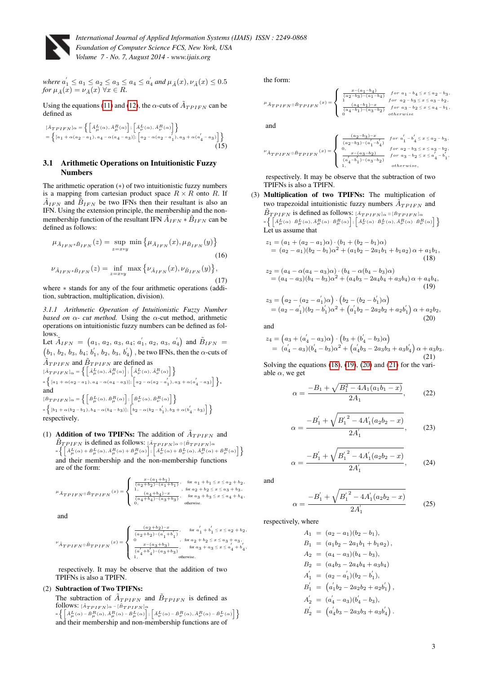

where 
$$
a'_1 \le a_1 \le a_2 \le a_3 \le a_4 \le a'_4
$$
 and  $\mu_{\tilde{A}}(x), \nu_{\tilde{A}}(x) \le 0.5$   
for  $\mu_{\tilde{A}}(x) = \nu_{\tilde{A}}(x)$   $\forall x \in R$ .

Using the equations [\(11\)](#page-1-0) and [\(12\)](#page-1-1), the  $\alpha$ -cuts of  $\tilde{A}_{TPIFN}$  can be defined as

$$
\begin{aligned} &\left[\tilde{A}_{TPIFN}\right]_{\alpha} = \left\{ \left[\tilde{A}_{\mu}^{L}(\alpha), \tilde{A}_{\mu}^{R}(\alpha)\right]; \left[\tilde{A}_{\nu}^{L}(\alpha), \tilde{A}_{\nu}^{R}(\alpha)\right] \right\} \\ &= \left\{ \left[a_{1} + \alpha(a_{2} - a_{1}), a_{4} - \alpha(a_{4} - a_{3})\right]; \left[a_{2} - \alpha(a_{2} - a_{1}'), a_{3} + \alpha(a_{4}^{'} - a_{3})\right] \right\} \end{aligned} \tag{15}
$$

#### 3.1 Arithmetic Operations on Intuitionistic Fuzzy Numbers

The arithmetic operation (∗) of two intuitionistic fuzzy numbers is a mapping from cartesian product space  $R \times R$  onto R. If  $\tilde{A}_{IFN}$  and  $\tilde{B}_{IFN}$  be two IFNs then their resultant is also an IFN. Using the extension principle, the membership and the nonmembership function of the resultant IFN  $\tilde{A}_{IFN} * \tilde{B}_{IFN}$  can be defined as follows:

$$
\mu_{\tilde{A}_{IFN} * \tilde{B}_{IFN}}(z) = \sup_{z = x * y} \min \left\{ \mu_{\tilde{A}_{IFN}}(x), \mu_{\tilde{B}_{IFN}}(y) \right\}
$$
\n
$$
(16)
$$
\n
$$
\nu_{\tilde{A}_{IFN} * \tilde{B}_{IFN}}(z) = \inf_{z = x * y} \max \left\{ \nu_{\tilde{A}_{IFN}}(x), \nu_{\tilde{B}_{IFN}}(y) \right\},
$$
\n
$$
(17)
$$

where ∗ stands for any of the four arithmetic operations (addition, subtraction, multiplication, division).

*3.1.1 Arithmetic Operation of Intuitionistic Fuzzy Number based on*  $\alpha$ - *cut method*. Using the  $\alpha$ -cut method, arithmetic operations on intuitionistic fuzzy numbers can be defined as follows.

Let  $\tilde{A}_{IFN} = (a_1, a_2, a_3, a_4; a'_1, a_2, a_3, a'_4)$  and  $\tilde{B}_{IFN} =$  $(b_1, b_2, b_3, b_4; b'_1, b_2, b_3, b'_4)$ , be two IFNs, then the  $\alpha$ -cuts of  $\tilde{A}_{TPIFN}$  and  $\tilde{B}_{TPIFN}$  are defined as  $\left[\tilde{A}_{TPIFN}\right]_{\alpha} = \left\{ \left[\tilde{A}_{\mu}^{L}(\alpha), \tilde{A}_{\mu}^{R}(\alpha)\right]; \left[\tilde{A}_{\nu}^{L}(\alpha), \tilde{A}_{\nu}^{R}(\alpha)\right]\right\}$  $=\left\{\rule{0pt}{10pt} [a_1+\alpha(a_2-a_1),a_4-\alpha(a_4-a_3)]; \rule{0pt}{10pt} [a_2-\alpha(a_2-a_1^{'}),a_3+\alpha(a_4^{'}-a_3)] \rule{0pt}{10pt} \right\},$ and  $[\hat{B}_{TPIFN}]_{\alpha}=\left\{\left[\hat{B}_{\mu}^{L}(\alpha),\hat{B}_{\mu}^{R}(\alpha)\right];\left[\hat{B}_{\nu}^{L}(\alpha),\hat{B}_{\nu}^{R}(\alpha)\right]\right\}$  $=\left\{\, [b_1+\alpha (b_2-b_1), b_4-\alpha (b_4-b_3)] ; \, \left[\, b_2-\alpha (b_2-b_1^{'}) , b_3+\alpha (b_4^{'}-b_3) \,\right] \,\right\}$ respectively.

(1) **Addition of two TPIFNs:** The addition of  $\tilde{A}_{TPIFN}$  and  $\tilde{B}_{TPIFN}$  is defined as follows:  $\begin{bmatrix} \tilde{A}_{TPIFN} \end{bmatrix} \alpha \triangleq [\tilde{B}_{TPIFN}] \alpha$ = -A˜L <sup>µ</sup> (α) + <sup>B</sup>˜<sup>L</sup> <sup>µ</sup> (α),A˜Rµ (α) + <sup>B</sup>˜Rµ (α) ; - A˜L ν (α) + B˜L ν (α),A˜Rν (α) + <sup>B</sup>˜Rν (α) and their membership and the non-membership functions are of the form:

$$
^{\mu} \tilde{A}_{TPIFN} \oplus \tilde{B}_{TPIFN} \stackrel{(x)}{=} \begin{cases} \frac{x - (a_1 + b_1)}{(a_2 + b_2) - (a_1 + b_1)}, & \text{for } a_1 + b_1 \leq x \leq a_2 + b_2, \\ 1, & \text{for } a_2 + b_2 \leq x \leq a_3 + b_3, \\ \frac{(a_4 + b_4) - x}{(a_4 + b_4) - (a_3 + b_3)}, & \text{for } a_3 + b_3 \leq x \leq a_4 + b_4, \\ 0, & \text{otherwise.} \end{cases}
$$

and

$$
^{\nu}\tilde{A}_{TPIFN}\oplus \tilde{B}_{TPIFN}\left( x \right) = \left\{ {\begin{array}{*{20}{c}} {\frac{{\left( {a_2 + b_2 } \right) - x}}{{\left( {a_2 + b_2 } \right) - \left( {a'_1 + b'_1 } \right)}},}&{\rm{for}~{a'_1} + b'_1 \le x \le {a_2 + b_2}, } \\ {\frac{{0}}{0}&{\rm{for}~{a_2} + b_2 \le x \le {a_3 + a_3}}, } \\ {\frac{{x - \left( {a_3 + b_3 } \right)}}{{\left( {a'_4 + b'_4 } \right) - \left( {a_3 + b_3 } \right)}},}&{\rm{for}~{a_3 + a_3} \le x \le a'_4 + b'_4, } \\ {1,} \\ {\end{array}} \right.
$$

respectively. It may be observe that the addition of two TPIFNs is also a TPIFN.

### (2) Subtraction of Two TPIFNs:

The subtraction of  $\tilde{A}_{TPIFN}$  and  $\tilde{B}_{TPIFN}$  is defined as follows:  $[\tilde{A}_{TPIFN}]_{\alpha}$  –  $[\tilde{B}_{TPIFN}]_{\alpha}$ = -A˜L <sup>µ</sup> (α) <sup>−</sup> <sup>B</sup>˜Rµ (α),A˜Rµ (α) <sup>−</sup> <sup>B</sup>˜<sup>L</sup> µ (α) ; - A˜L ν (α) <sup>−</sup> <sup>B</sup>˜Rν (α),A˜Rν (α) − B˜L ν (α) and their membership and non-membership functions are of

the form:

$$
^{\mu}\tilde{A}_{TPIFN}\oplus \tilde{B}_{TPIFN}(x)=\left\{\begin{array}{ll} \frac{x-(a_{1}-b_{4})}{(a_{2}-b_{3})-(a_{1}-b_{4})} & for\ a_{1}-b_{4}\leq x\leq a_{2}-b_{3}, \\[1mm] 1 & for\ a_{2}-b_{3}\leq x\leq a_{3}-b_{2}, \\[1mm] 0 & (a_{4}-b_{1})-(a_{3}-b_{2}) & for\ a_{3}-b_{2}\leq x\leq a_{4}-b_{1}, \\[1mm] 0 & otherwise \end{array}\right.
$$

$$
{}^{\nu}\bar{A}_{TPIFN} \oplus \bar{B}_{TPIFN} \stackrel{(x)}{=} \begin{cases} \frac{(a_2-b_3)-x}{(a_2-b_3)-(a_1'-b_4')} & \textit{for $a_1'-b_4' \leq x \leq a_2-b_3$,} \\ 0, & \textit{for $a_2-b_3 \leq x \leq a_3-b_2$,} \\ \frac{x-(a_3-b_2)}{(a_4'-b_1')-(a_3-b_2)} & \textit{for $a_3-b_2 \leq x \leq a_4'-b_1'$,} \\ 1, & \textit{otherwise,} \end{cases}
$$

respectively. It may be observe that the subtraction of two TPIFNs is also a TPIFN.

(3) Multiplication of two TPIFNs: The multiplication of two trapezoidal intuitionistic fuzzy numbers  $\tilde{A}_{TPIFN}$  and  $\tilde{B}_{TPIFN}$  is defined as follows:  $[A_{TPIFN}]_{\alpha} \otimes [\tilde{B}_{TPIFN}]_{\alpha}$  $=\left\{\left[\tilde{A}^L_{\mu}(\alpha)\cdot\tilde{B}^R_{\mu}(\alpha)\cdot\tilde{B}^R_{\mu}(\alpha)\right];\left[\tilde{A}^L_{\nu}(\alpha)\cdot\tilde{B}^L_{\nu}(\alpha),\tilde{A}^R_{\nu}(\alpha)\cdot\tilde{B}^R_{\nu}(\alpha)\right]\right\}$ Let us assume that

<span id="page-2-0"></span>
$$
z_1 = (a_1 + (a_2 - a_1)\alpha) \cdot (b_1 + (b_2 - b_1)\alpha)
$$
  
=  $(a_2 - a_1)(b_2 - b_1)\alpha^2 + (a_1b_2 - 2a_1b_1 + b_1a_2)\alpha + a_1b_1,$   
(18)

<span id="page-2-1"></span>
$$
z_2 = (a_4 - \alpha(a_4 - a_3)\alpha) \cdot (b_4 - \alpha(b_4 - b_3)\alpha)
$$
  
=  $(a_4 - a_3)(b_4 - b_3)\alpha^2 + (a_4b_3 - 2a_4b_4 + a_3b_4)\alpha + a_4b_4,$   
(19)  

$$
z_3 = (a_2 - (a_2 - a'_1)\alpha) \cdot (b_2 - (b_2 - b'_1)\alpha)
$$

<span id="page-2-2"></span>
$$
= (a_2 - a'_1)(b_2 - b'_1)\alpha^2 + (a'_1b_2 - 2a_2b_2 + a_2b'_1)\alpha + a_2b_2,(20)
$$

and

<span id="page-2-3"></span>
$$
z_4 = (a_3 + (a'_4 - a_3)\alpha) \cdot (b_3 + (b'_4 - b_3)\alpha)
$$
  
=  $(a'_4 - a_3)(b'_4 - b_3)\alpha^2 + (a'_4b_3 - 2a_3b_3 + a_3b'_4)\alpha + a_3b_3.$  (21)

Solving the equations [\(18\)](#page-2-0), [\(19\)](#page-2-1), [\(20\)](#page-2-2) and [\(21\)](#page-2-3) for the variable  $\alpha$ , we get

$$
x = \frac{-B_1 + \sqrt{B_1^2 - 4A_1(a_1b_1 - x)}}{2A_1},
$$
 (22)

<span id="page-2-5"></span>
$$
\alpha = \frac{-B_1' + \sqrt{{B_1'}^2 - 4A_1'(a_2b_2 - x)}}{2A_1'},
$$
 (23)

<span id="page-2-6"></span>
$$
\alpha = \frac{-B_1' + \sqrt{{B_1'}^2 - 4A_1'(a_2b_2 - x)}}{2A_1'},
$$
 (24)

and

<span id="page-2-7"></span>
$$
\alpha = \frac{-B_1' + \sqrt{{B_1'}^2 - 4A_1'(a_2b_2 - x)}}{2A_1'} \tag{25}
$$

respectively, where

<span id="page-2-4"></span> $\epsilon$ 

$$
A_1 = (a_2 - a_1)(b_2 - b_1),
$$
  
\n
$$
B_1 = (a_1b_2 - 2a_1b_1 + b_1a_2),
$$
  
\n
$$
A_2 = (a_4 - a_3)(b_4 - b_3),
$$
  
\n
$$
B_2 = (a_4b_3 - 2a_4b_4 + a_3b_4)
$$
  
\n
$$
A'_1 = (a_2 - a'_1)(b_2 - b'_1),
$$
  
\n
$$
B'_1 = (a'_1b_2 - 2a_2b_2 + a_2b'_1),
$$
  
\n
$$
A'_2 = (a'_4 - a_3)(b'_4 - b_3),
$$
  
\n
$$
B'_2 = (a'_4b_3 - 2a_3b_3 + a_3b'_4).
$$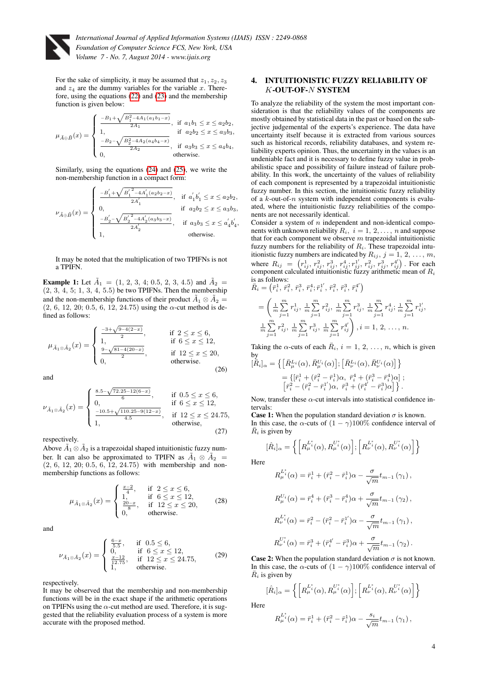

For the sake of simplicity, it may be assumed that  $z_1, z_2, z_3$ and  $z_4$  are the dummy variables for the variable x. Therefore, using the equations [\(22\)](#page-2-4) and [\(23\)](#page-2-5) and the membership function is given below:

$$
\mu_{\tilde{A} \oplus \tilde{B}}(x) = \begin{cases} \frac{-B_1 + \sqrt{B_1^2 - 4A_1(a_1b_1 - x)}}{2A_1}, & \text{if } a_1b_1 \leq x \leq a_2b_2, \\ 1, & \text{if } a_2b_2 \leq x \leq a_3b_3, \\ \frac{-B_2 - \sqrt{B_2^2 - 4A_2(a_4b_4 - x)}}{2A_2}, & \text{if } a_3b_3 \leq x \leq a_4b_4, \\ 0, & \text{otherwise.} \end{cases}
$$

Similarly, using the equations [\(24\)](#page-2-6) and [\(25\)](#page-2-7), we write the non-membership function in a compact form:

$$
\nu_{\tilde{A}\oplus\tilde{B}}(x)=\begin{cases} \frac{-B_1^{'} + \sqrt{{B_1^{'}}^2 - 4A_1^{'}(a_2b_2-x)}}{2A_1^{'}} , & \text{if}~~ a_1^{'}b_1^{'} \leq x \leq a_2b_2, \\ 0, & \text{if}~~ a_2b_2 \leq x \leq a_3b_3, \\ \frac{-B_2^{'} - \sqrt{{B_2^{'}}^2 - 4A_2^{'}(a_3b_3-x)}}{2A_2^{'}} , & \text{if}~~ a_3b_3 \leq x \leq a_4^{'}b_4^{'}, \\ 1, & \text{otherwise.} \end{cases}
$$

It may be noted that the multiplication of two TPIFNs is not a TPIFN.

**Example 1:** Let  $\tilde{A}_1 = (1, 2, 3, 4; 0.5, 2, 3, 4.5)$  and  $\tilde{A}_2 =$  $(2, 3, 4, 5; 1, 3, 4, 5.5)$  be two TPIFNs. Then the membership and the non-membership functions of their product  $\tilde{A}_1 \otimes \tilde{A}_2 =$  $(2, 6, 12, 20, 0.5, 6, 12, 24.75)$  using the  $\alpha$ -cut method is defined as follows:

$$
\mu_{\tilde{A}_1 \otimes \tilde{A}_2}(x) = \begin{cases}\n\frac{-3 + \sqrt{9 - 4(2 - x)}}{2}, & \text{if } 2 \le x \le 6, \\
1, & \text{if } 6 \le x \le 12, \\
\frac{9 - \sqrt{81 - 4(20 - x)}}{2}, & \text{if } 12 \le x \le 20, \\
0, & \text{otherwise.} \n\end{cases}
$$
\n(26)

and

$$
\nu_{\tilde{A}_1 \otimes \tilde{A}_2}(x) = \begin{cases}\n\frac{8.5 - \sqrt{72.25 - 12(6-x)}}{6}, & \text{if } 0.5 \le x \le 6, \\
0, & \text{if } 6 \le x \le 12, \\
\frac{-10.5 + \sqrt{110.25 - 9(12-x)}}{4.5}, & \text{if } 12 \le x \le 24.75, \\
\text{otherwise}, & (27)\n\end{cases}
$$

respectively.

Above  $\tilde{A}_1 \otimes \tilde{A}_2$  is a trapezoidal shaped intuitionistic fuzzy number. It can also be approximated to TPIFN as  $\tilde{A}_1 \otimes \tilde{A}_2 =$ (2, 6, 12, 20; 0.5, 6, 12, 24.75) with membership and nonmembership functions as follows:

$$
\mu_{\tilde{A}_1 \otimes \tilde{A}_2}(x) = \begin{cases} \frac{x-2}{4}, & \text{if } 2 \le x \le 6, \\ 1, & \text{if } 6 \le x \le 12, \\ \frac{20-x}{8}, & \text{if } 12 \le x \le 20, \\ 0, & \text{otherwise.} \end{cases} \tag{28}
$$

and

$$
\nu_{\tilde{A}_1 \otimes \tilde{A}_2}(x) = \begin{cases}\n\frac{6-x}{5.5}, & \text{if } 0.5 \le 6, \\
0, & \text{if } 6 \le x \le 12, \\
\frac{x-12}{12.75}, & \text{if } 12 \le x \le 24.75, \\
1, & \text{otherwise.} \n\end{cases}
$$
\n(29)

respectively.

It may be observed that the membership and non-membership functions will be in the exact shape if the arithmetic operations on TPIFNs using the  $\alpha$ -cut method are used. Therefore, it is suggested that the reliability evaluation process of a system is more accurate with the proposed method.

### 4. INTUITIONISTIC FUZZY RELIABILITY OF K-OUT-OF-N SYSTEM

To analyze the reliability of the system the most important consideration is that the reliability values of the components are mostly obtained by statistical data in the past or based on the subjective judgemental of the experts's experience. The data have uncertainty itself because it is extracted from various sources such as historical records, reliability databases, and system reliability experts opinion. Thus, the uncertainty in the values is an undeniable fact and it is necessary to define fuzzy value in probabilistic space and possibility of failure instead of failure probability. In this work, the uncertainty of the values of reliability of each component is represented by a trapezoidal intuitionistic fuzzy number. In this section, the intuitionistic fuzzy reliability of a  $k$ -out-of- $n$  system with independent components is evaluated, where the intuitionistic fuzzy reliabilities of the components are not necessarily identical.

Consider a system of  $n$  independent and non-identical components with unknown reliability  $R_i$ ,  $i = 1, 2, ..., n$  and suppose that for each component we observe  $m$  trapezoidal intuitionistic fuzzy numbers for the reliability of  $R<sub>i</sub>$ . These trapezoidal intuitionistic fuzzy numbers are indicated by  $R_{ij}$ ,  $j = 1, 2, ..., m$ , where  $R_{ij} = (r_{ij}^1, r_{ij}^2, r_{ij}^3, r_{ij}^4, r_{ij}^1, r_{ij}^2, r_{ij}^3, r_{ij}^4)$ . For each component calculated intuitionistic fuzzy arithmetic mean of  $R_i$ is as follows:

$$
\begin{split} \bar{R}_i &= \left(\bar{r}_i^1, \, \bar{r}_i^2, \, \bar{r}_i^3, \, \bar{r}_i^4; \, \bar{r}_i^1', \, \bar{r}_i^2, \, \bar{r}_i^3, \, \bar{r}_i^4'\right) \\ &= \left(\frac{1}{m} \sum_{j=1}^m r_{ij}^1, \, \frac{1}{m} \sum_{j=1}^m r_{ij}^2, \, \frac{1}{m} \sum_{j=1}^m r_{ij}^3, \, \frac{1}{m} \sum_{j=1}^m r_{ij}^4; \, \frac{1}{m} \sum_{j=1}^m r_{ij}^1, \\ &\frac{1}{m} \sum_{j=1}^m r_{ij}^2, \, \frac{1}{m} \sum_{j=1}^m r_{ij}^3, \, \frac{1}{m} \sum_{j=1}^m r_{ij}^4\right), i = 1, \, 2, \, \dots, \, n. \end{split}
$$

Taking the  $\alpha$ -cuts of each  $\overline{R}_i$ ,  $i = 1, 2, ..., n$ , which is given by

$$
\begin{split} [\bar{R}_i]_{\alpha} = \left\{ \left[ \bar{R}_{\mu}^{L_i}(\alpha), \bar{R}_{\mu}^{U_i}(\alpha) \right]; \left[ \bar{R}_{\nu}^{L_i}(\alpha), \bar{R}_{\nu}^{U_i}(\alpha) \right] \right\} \\ = \left\{ [\bar{r}_i^1 + (\bar{r}_i^2 - \bar{r}_i^1)\alpha, \ \bar{r}_i^4 + (\bar{r}_i^3 - \bar{r}_i^4)\alpha \right] \, ; \\ \left[ \bar{r}_i^2 - (\bar{r}_i^2 - \bar{r}_i^1')\alpha, \ \bar{r}_i^3 + (\bar{r}_i^{4'} - \bar{r}_i^3)\alpha \right] \right\}. \end{split}
$$

Now, transfer these  $\alpha$ -cut intervals into statistical confidence intervals:

**Case 1:** When the population standard deviation  $\sigma$  is known. In this case, the  $\alpha$ -cuts of  $(1 - \gamma)100\%$  confidence interval of  $\overline{R}_i$  is given by

$$
[\hat{R}_i]_{\alpha} = \left\{ \left[ R_{\mu}^{L_i^*}(\alpha), R_{\mu}^{U_i^*}(\alpha) \right]; \left[ R_{\nu}^{L_i^*}(\alpha), R_{\nu}^{U_i^*}(\alpha) \right] \right\}
$$

Here

$$
R_{\mu}^{L_{i}^{*}}(\alpha) = \bar{r}_{i}^{1} + (\bar{r}_{i}^{2} - \bar{r}_{i}^{1})\alpha - \frac{\sigma}{\sqrt{m}}t_{m-1}(\gamma_{1}),
$$
  
\n
$$
R_{\mu}^{U_{i}}(\alpha) = \bar{r}_{i}^{4} + (\bar{r}_{i}^{3} - \bar{r}_{i}^{4})\alpha + \frac{\sigma}{\sqrt{m}}t_{m-1}(\gamma_{2}),
$$
  
\n
$$
R_{\nu}^{L_{i}^{*}}(\alpha) = \bar{r}_{i}^{2} - (\bar{r}_{i}^{2} - \bar{r}_{i}^{1'})\alpha - \frac{\sigma}{\sqrt{m}}t_{m-1}(\gamma_{1}),
$$
  
\n
$$
R_{\nu}^{U_{i}^{*}}(\alpha) = \bar{r}_{i}^{3} + (\bar{r}_{i}^{4'} - \bar{r}_{i}^{3})\alpha + \frac{\sigma}{\sqrt{m}}t_{m-1}(\gamma_{2}).
$$

**Case 2:** When the population standard deviation  $\sigma$  is not known. In this case, the  $\alpha$ -cuts of  $(1 - \gamma)100\%$  confidence interval of  $\overline{R}_i$  is given by

$$
[\hat{R}_i]_{\alpha} = \left\{ \left[ R_{\mu}^{L_i^*}(\alpha), R_{\mu}^{U_i^*}(\alpha) \right]; \left[ R_{\nu}^{L_i^*}(\alpha), R_{\nu}^{U_i^*}(\alpha) \right] \right\}
$$

Here

$$
R_{\mu}^{L_i^*}(\alpha) = \bar{r}_i^1 + (\bar{r}_i^2 - \bar{r}_i^1)\alpha - \frac{s_i}{\sqrt{m}}t_{m-1}(\gamma_1),
$$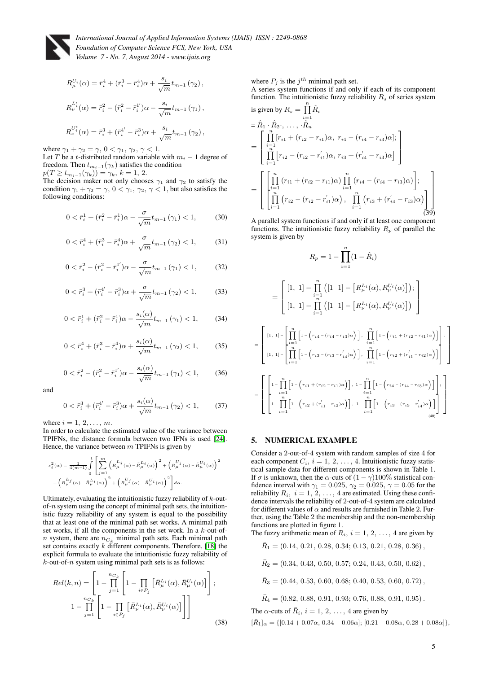

$$
R_{\mu}^{U_i}(\alpha) = \bar{r}_i^4 + (\bar{r}_i^3 - \bar{r}_i^4)\alpha + \frac{s_i}{\sqrt{m}}t_{m-1}(\gamma_2),
$$
  
\n
$$
R_{\nu}^{L_i^*}(\alpha) = \bar{r}_i^2 - (\bar{r}_i^2 - \bar{r}_i^1)\alpha - \frac{s_i}{\sqrt{m}}t_{m-1}(\gamma_1),
$$
  
\n
$$
R_{\nu}^{U_i^*}(\alpha) = \bar{r}_i^3 + (\bar{r}_i^{4'} - \bar{r}_i^3)\alpha + \frac{s_i}{\sqrt{m}}t_{m-1}(\gamma_2),
$$

where  $\gamma_1 + \gamma_2 = \gamma$ ,  $0 < \gamma_1$ ,  $\gamma_2$ ,  $\gamma < 1$ .

Let T be a t-distributed random variable with  $m<sub>i</sub> - 1$  degree of freedom. Then  $t_{m_i-1}(\gamma_k)$  satisfies the condition

 $p(T \ge t_{m_i-1}(\gamma_k)) = \gamma_k, k = 1, 2.$ 

The decision maker not only chooses  $\gamma_1$  and  $\gamma_2$  to satisfy the condition  $\gamma_1 + \gamma_2 = \gamma$ ,  $0 < \gamma_1$ ,  $\gamma_2$ ,  $\gamma < 1$ , but also satisfies the following conditions:

$$
0 < \bar{r}_i^1 + (\bar{r}_i^2 - \bar{r}_i^1)\alpha - \frac{\sigma}{\sqrt{m}} t_{m-1} \left( \gamma_1 \right) < 1,\tag{30}
$$

$$
0 < \bar{r}_i^4 + (\bar{r}_i^3 - \bar{r}_i^4)\alpha + \frac{\sigma}{\sqrt{m}} t_{m-1} \left(\gamma_2\right) < 1,\tag{31}
$$

$$
0 < \bar{r}_i^2 - (\bar{r}_i^2 - \bar{r}_i^1')\alpha - \frac{\sigma}{\sqrt{m}} t_{m-1} \left(\gamma_1\right) < 1,\tag{32}
$$

$$
0 < \bar{r}_i^3 + (\bar{r}_i^{4'} - \bar{r}_i^3)\alpha + \frac{\sigma}{\sqrt{m}} t_{m-1} \left(\gamma_2\right) < 1,\tag{33}
$$

$$
0 < \bar{r}_i^1 + (\bar{r}_i^2 - \bar{r}_i^1)\alpha - \frac{s_i(\alpha)}{\sqrt{m}} t_{m-1}(\gamma_1) < 1,\tag{34}
$$

$$
0 < \bar{r}_i^4 + (\bar{r}_i^3 - \bar{r}_i^4)\alpha + \frac{s_i(\alpha)}{\sqrt{m}} t_{m-1}(\gamma_2) < 1,\tag{35}
$$

$$
0 < \bar{r}_i^2 - (\bar{r}_i^2 - \bar{r}_i^1')\alpha - \frac{s_i(\alpha)}{\sqrt{m}} t_{m-1}(\gamma_1) < 1,\tag{36}
$$

and

$$
0 < \bar{r}_i^3 + (\bar{r}_i^{4'} - \bar{r}_i^3)\alpha + \frac{s_i(\alpha)}{\sqrt{m}}t_{m-1}(\gamma_2) < 1,\tag{37}
$$

where  $i = 1, 2, \ldots, m$ .

In order to calculate the estimated value of the variance between TPIFNs, the distance formula between two IFNs is used [\[24\]](#page-6-9). Hence, the variance between  $m$  TPIFNs is given by

$$
s_i^2(\alpha) = \frac{1}{4(m-1)} \int_0^1 \left[ \sum_{j=1}^m \left( R_\mu^{L_j}(\alpha) - \bar{R}_\mu^{L_i}(\alpha) \right)^2 + \left( R_\mu^{U_j}(\alpha) - \bar{R}_\mu^{U_i}(\alpha) \right)^2 \right. \left. + \left( R_\nu^{L_j}(\alpha) - \bar{R}_\mu^{U_i}(\alpha) \right)^2 + \left( R_\nu^{U_j}(\alpha) - R_\nu^{U_i}(\alpha) \right)^2 \right] d\alpha.
$$

Ultimately, evaluating the intuitionistic fuzzy reliability of  $k$ -outof-n system using the concept of minimal path sets, the intuitionistic fuzzy reliability of any system is equal to the possibility that at least one of the minimal path set works. A minimal path set works, if all the components in the set work. In a  $k$ -out-ofn system, there are  $n_{C_k}$  minimal path sets. Each minimal path set contains exactly  $k$  different components. Therefore, [\[18\]](#page-6-3) the explicit formula to evaluate the intuitionistic fuzzy reliability of  $k$ -out-of- $n$  system using minimal path sets is as follows:

<span id="page-4-0"></span>
$$
Rel(k, n) = \left[ 1 - \prod_{j=1}^{n_{C_k}} \left[ 1 - \prod_{i \in P_j} \left[ \bar{R}_{\mu}^{L_i}(\alpha), \bar{R}_{\mu}^{U_i}(\alpha) \right] \right];
$$
  

$$
1 - \prod_{j=1}^{n_{C_k}} \left[ 1 - \prod_{i \in P_j} \left[ \bar{R}_{\nu}^{L_i}(\alpha), \bar{R}_{\nu}^{U_i}(\alpha) \right] \right]
$$
(38)

where  $P_j$  is the  $j<sup>th</sup>$  minimal path set.

A series system functions if and only if each of its component function. The intuitionistic fuzzy reliability  $R_s$  of series system is given by  $R_s = \prod^n \hat{R}$ 

is given by 
$$
R_s = \prod_{i=1}^{n} n_i
$$
  
\n
$$
= \hat{R}_1 \cdot \hat{R}_2, \dots, \hat{R}_n
$$
\n
$$
= \begin{bmatrix} \prod_{i=1}^{n} [r_{i1} + (r_{i2} - r_{i1})\alpha, r_{i4} - (r_{i4} - r_{i3})\alpha]; \\ \prod_{i=1}^{n} [r_{i2} - (r_{i2} - r'_{i1})\alpha, r_{i3} + (r'_{i4} - r_{i3})\alpha] \end{bmatrix}
$$
\n
$$
= \begin{bmatrix} \prod_{i=1}^{n} (r_{i1} + (r_{i2} - r_{i1})\alpha) \prod_{i=1}^{n} (r_{i4} - (r_{i4} - r_{i3})\alpha) \\ \prod_{i=1}^{n} (r_{i2} - (r_{i2} - r'_{i1})\alpha) , \prod_{i=1}^{n} (r_{i3} + (r'_{i4} - r_{i3})\alpha) \end{bmatrix}
$$
\n(39)

A parallel system functions if and only if at least one component functions. The intuitionistic fuzzy reliability  $R_p$  of parallel the system is given by

$$
R_p = 1 - \prod_{i=1}^{n} (1 - \hat{R}_i)
$$
  
\n
$$
= \begin{bmatrix} [1, 1] - \prod_{i=1}^{n} ([1 \ 1] - [R_{\mu}^{L_i}(\alpha), R_{\mu}^{U_i}(\alpha)]); \\ [1, 1] - \prod_{i=1}^{n} ([1 \ 1] - [R_{\nu}^{L_i}(\alpha), R_{\nu}^{U_i}(\alpha)]) \end{bmatrix}
$$
  
\n
$$
= \begin{bmatrix} [1, 1] - \prod_{i=1}^{n} [1 - (r_{i4} - (r_{i4} - r_{i3})\alpha)], \prod_{i=1}^{n} [1 - (r_{i1} + (r_{i2} - r_{i1})\alpha)]; \\ [1, 1] - \prod_{i=1}^{n} [1 - (r_{i3} - (r_{i3} - r_{i4}')\alpha)], \prod_{i=1}^{n} [1 - (r_{i2} + (r_{i1}' - r_{i2})\alpha)] \end{bmatrix}
$$
  
\n
$$
= \begin{bmatrix} \prod_{i=1}^{n} [1 - (r_{i1} + (r_{i2} - r_{i1})\alpha)], 1 - \prod_{i=1}^{n} [1 - (r_{i4} - (r_{i4} - r_{i3})\alpha)]; \\ 1 - \prod_{i=1}^{n} [1 - (r_{i2} + (r_{i1}' - r_{i2})\alpha)], 1 - \prod_{i=1}^{n} [1 - (r_{i3} - (r_{i3} - r_{i4}')\alpha)] \end{bmatrix}
$$

#### 5. NUMERICAL EXAMPLE

Consider a 2-out-of-4 system with random samples of size 4 for each component  $C_i$ ,  $i = 1, 2, ..., 4$ . Intuitionistic fuzzy statistical sample data for different components is shown in Table 1. If  $\sigma$  is unknown, then the  $\alpha$ -cuts of  $(1 - \gamma)100\%$  statistical confidence interval with  $\gamma_1 = 0.025$ ,  $\gamma_2 = 0.025$ ,  $\gamma = 0.05$  for the reliability  $R_i$ ,  $i = 1, 2, ..., 4$  are estimated. Using these confidence intervals the reliability of 2-out-of-4 system are calculated for different values of  $\alpha$  and results are furnished in Table 2. Further, using the Table 2 the membership and the non-membership functions are plotted in figure 1.

The fuzzy arithmetic mean of  $R_i$ ,  $i = 1, 2, ..., 4$  are given by

 $\bar{R}_1 = (0.14, 0.21, 0.28, 0.34; 0.13, 0.21, 0.28, 0.36),$ 

 $\bar{R}_2 = (0.34, 0.43, 0.50, 0.57, 0.24, 0.43, 0.50, 0.62)$ ,

 $\bar{R}_3 = (0.44, 0.53, 0.60, 0.68; 0.40, 0.53, 0.60, 0.72)$ ,

 $\bar{R}_4 = (0.82, 0.88, 0.91, 0.93; 0.76, 0.88, 0.91, 0.95).$ 

The  $\alpha$ -cuts of  $\bar{R}_i$ ,  $i = 1, 2, \ldots, 4$  are given by

 $[\bar{R}_1]_{\alpha} = \{[0.14 + 0.07\alpha, 0.34 - 0.06\alpha]; [0.21 - 0.08\alpha, 0.28 + 0.08\alpha]\},\$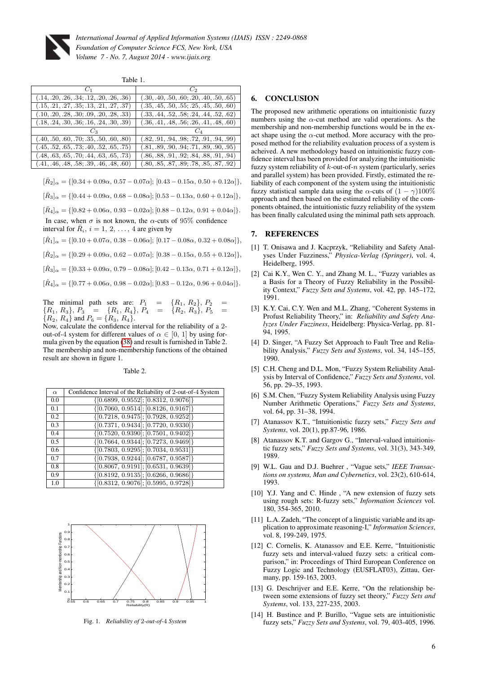

Table 1.

| $C_2$                                      |
|--------------------------------------------|
| $(.30, .40, .50, .60; .20, .40, .50, .65)$ |
| $(.35, .45, .50, .55; .25, .45, .50, .60)$ |
| $(.33, .44, .52, .58; .24, .44, .52, .62)$ |
| $(.36, .41, .48, .56; .26, .41, .48, .60)$ |
|                                            |
| $(.82, .91, .94, .98; .72, .91, .94, .99)$ |
| $(.81, .89, .90, .94; .71, .89, .90, .95)$ |
| $(.86, .88, .91, .92; .84, .88, .91, .94)$ |
| $(.80, .85, .87, .89, .78, .85, .87, .92)$ |
|                                            |

 $[\bar{R}_2]_{\alpha} = \{[0.34 + 0.09\alpha, 0.57 - 0.07\alpha]; [0.43 - 0.15\alpha, 0.50 + 0.12\alpha]\},\$ 

 $[\bar{R}_3]_{\alpha} = \{[0.44 + 0.09\alpha, 0.68 - 0.08\alpha]; [0.53 - 0.13\alpha, 0.60 + 0.12\alpha]\},\$ 

 $[\bar{R}_4]_{\alpha} = \{[0.82 + 0.06\alpha, 0.93 - 0.02\alpha]; [0.88 - 0.12\alpha, 0.91 + 0.04\alpha]\}.$ 

In case, when  $\sigma$  is not known, the  $\alpha$ -cuts of 95% confidence interval for  $\overline{R}_i$ ,  $i = 1, 2, ..., 4$  are given by

 $[\hat{R}_1]_{\alpha} = \{[0.10 + 0.07\alpha, 0.38 - 0.06\alpha]; [0.17 - 0.08\alpha, 0.32 + 0.08\alpha]\},\$ 

 $[\hat{R}_2]_{\alpha} = \{[0.29 + 0.09\alpha, 0.62 - 0.07\alpha]; [0.38 - 0.15\alpha, 0.55 + 0.12\alpha]\},\$ 

 $[\hat{R}_3]_{\alpha} = \{[0.33 + 0.09\alpha, 0.79 - 0.08\alpha]; [0.42 - 0.13\alpha, 0.71 + 0.12\alpha]\},\$ 

 $[\hat{R}_4]_{\alpha} = \{[0.77 + 0.06\alpha, 0.98 - 0.02\alpha]; [0.83 - 0.12\alpha, 0.96 + 0.04\alpha]\}.$ 

The minimal path sets are:  $P_1 = \{R_1, R_2\}, P_2$ <br> $\{R_1, R_3\}, P_3 = \{R_1, R_4\}, P_4 = \{R_2, R_3\}, P_5$  ${\mathcal{R}} = \{R_1, R_4\}, P_4 = {\mathcal{R}}$  ${R_2, R_4}$  and  $P_6 = {R_3, R_4}$ .

Now, calculate the confidence interval for the reliability of a 2 out-of-4 system for different values of  $\alpha \in [0, 1]$  by using formula given by the equation [\(38\)](#page-4-0) and result is furnished in Table 2. The membership and non-membership functions of the obtained result are shown in figure 1.

Table 2.

| $\alpha$ | Confidence Interval of the Reliability of 2-out-of-4 System |
|----------|-------------------------------------------------------------|
| 0.0      | $\{ [0.6899, 0.9552]; [0.8312, 0.9076] \}$                  |
| 0.1      | $\{[0.7060, 0.9514]; [0.8126, 0.9167]\}$                    |
| 0.2      | $\{[0.7218, 0.9475]; [0.7928, 0.9252]\}$                    |
| 0.3      | $\{ [0.7371, 0.9434]; [0.7720, 0.9330] \}$                  |
| 0.4      | $\{[0.7520, 0.9390]; [0.7501, 0.9402]\}$                    |
| 0.5      | $\{[0.7664, 0.9344]; [0.7273, 0.9469]\}$                    |
| 0.6      | $\{ [0.7803, 0.9295]; [0.7034, 0.9531] \}$                  |
| 0.7      | $\{[0.7938, 0.9244]; [0.6787, 0.9587]\}$                    |
| 0.8      | $\{ [0.8067, 0.9191]; [0.6531, 0.9639] \}$                  |
| 0.9      | $\{[0.8192, 0.9135]; [0.6266, 0.9686]\}$                    |
| 1.0      | $\{[0.8312, 0.9076]; [0.5995, 0.9728]\}$                    |



Fig. 1. *Reliability of* 2*-out-of-*4 *System*

## 6. CONCLUSION

The proposed new arithmetic operations on intuitionistic fuzzy numbers using the  $\alpha$ -cut method are valid operations. As the membership and non-membership functions would be in the exact shape using the  $\alpha$ -cut method. More accuracy with the proposed method for the reliability evaluation process of a system is acheived. A new methodology based on intuitionistic fuzzy confidence interval has been provided for analyzing the intuitionistic fuzzy system reliability of  $k$ -out-of- $n$  system (particularly, series and parallel system) has been provided. Firstly, estimated the reliability of each component of the system using the intuitionistic fuzzy statistical sample data using the  $\alpha$ -cuts of  $(1 - \gamma)100\%$ approach and then based on the estimated reliability of the components obtained, the intuitionistic fuzzy reliability of the system has been finally calculated using the minimal path sets approach.

#### 7. REFERENCES

- <span id="page-5-0"></span>[1] T. Onisawa and J. Kacprzyk, "Reliability and Safety Analyses Under Fuzziness," *Physica-Verlag (Springer)*, vol. 4, Heidelberg, 1995.
- <span id="page-5-1"></span>[2] Cai K.Y., Wen C. Y., and Zhang M. L., "Fuzzy variables as a Basis for a Theory of Fuzzy Reliability in the Possibility Context," *Fuzzy Sets and Systems*, vol. 42, pp. 145–172, 1991.
- <span id="page-5-2"></span>[3] K.Y. Cai, C.Y. Wen and M.L. Zhang, "Coherent Systems in Profust Reliability Theory," in: *Reliability and Safety Analyzes Under Fuzziness*, Heidelberg: Physica-Verlag, pp. 81- 94, 1995.
- <span id="page-5-3"></span>[4] D. Singer, "A Fuzzy Set Approach to Fault Tree and Reliability Analysis," *Fuzzy Sets and Systems*, vol. 34, 145–155, 1990.
- <span id="page-5-4"></span>[5] C.H. Cheng and D.L. Mon, "Fuzzy System Reliability Analysis by Interval of Confidence," *Fuzzy Sets and Systems*, vol. 56, pp. 29–35, 1993.
- <span id="page-5-5"></span>[6] S.M. Chen, "Fuzzy System Reliability Analysis using Fuzzy Number Arithmetic Operations," *Fuzzy Sets and Systems*, vol. 64, pp. 31–38, 1994.
- <span id="page-5-6"></span>[7] Atanassov K.T., "Intuitionistic fuzzy sets," *Fuzzy Sets and Systems*, vol. 20(1), pp.87-96, 1986.
- <span id="page-5-7"></span>[8] Atanassov K.T. and Gargov G., "Interval-valued intuitionistic fuzzy sets," *Fuzzy Sets and Systems*, vol. 31(3), 343-349, 1989.
- <span id="page-5-8"></span>[9] W.L. Gau and D.J. Buehrer , "Vague sets," *IEEE Transactions on systems, Man and Cybernetics*, vol. 23(2), 610-614, 1993.
- <span id="page-5-9"></span>[10] Y.J. Yang and C. Hinde, "A new extension of fuzzy sets using rough sets: R-fuzzy sets," *Information Sciences* vol. 180, 354-365, 2010.
- <span id="page-5-10"></span>[11] L.A. Zadeh, "The concept of a linguistic variable and its application to approximate reasoning-I," *Information Sciences*, vol. 8, 199-249, 1975.
- [12] C. Cornelis, K. Atanassov and E.E. Kerre, "Intuitionistic fuzzy sets and interval-valued fuzzy sets: a critical comparison," in: Proceedings of Third European Conference on Fuzzy Logic and Technology (EUSFLAT03), Zittau, Germany, pp. 159-163, 2003.
- [13] G. Deschrijver and E.E. Kerre, "On the relationship between some extensions of fuzzy set theory," *Fuzzy Sets and Systems*, vol. 133, 227-235, 2003.
- [14] H. Bustince and P. Burillo, "Vague sets are intuitionistic fuzzy sets," *Fuzzy Sets and Systems*, vol. 79, 403-405, 1996.